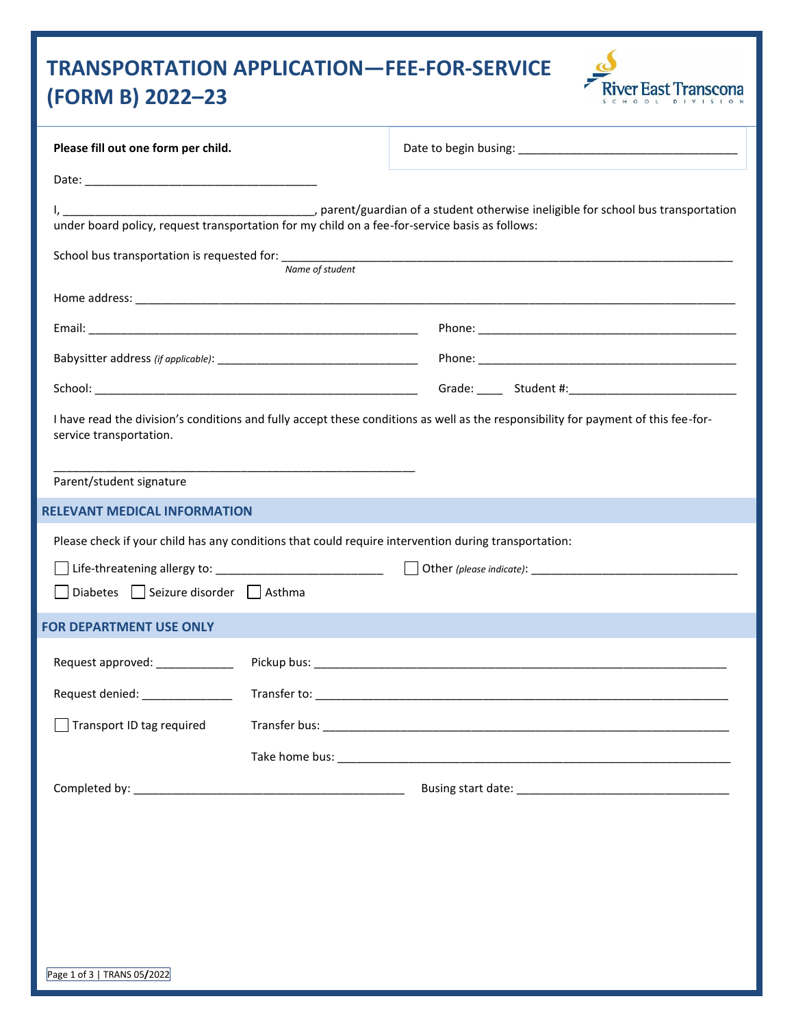# **TRANSPORTATION APPLICATION—FEE-FOR-SERVICE (FORM B) 2022–23**



| Please fill out one form per child.                                                                  |                 |                                                                                                                                    |  |
|------------------------------------------------------------------------------------------------------|-----------------|------------------------------------------------------------------------------------------------------------------------------------|--|
|                                                                                                      |                 |                                                                                                                                    |  |
| under board policy, request transportation for my child on a fee-for-service basis as follows:       |                 |                                                                                                                                    |  |
|                                                                                                      | Name of student |                                                                                                                                    |  |
|                                                                                                      |                 |                                                                                                                                    |  |
|                                                                                                      |                 |                                                                                                                                    |  |
|                                                                                                      |                 |                                                                                                                                    |  |
|                                                                                                      |                 |                                                                                                                                    |  |
| service transportation.<br>Parent/student signature                                                  |                 | I have read the division's conditions and fully accept these conditions as well as the responsibility for payment of this fee-for- |  |
| <b>RELEVANT MEDICAL INFORMATION</b>                                                                  |                 |                                                                                                                                    |  |
| Please check if your child has any conditions that could require intervention during transportation: |                 |                                                                                                                                    |  |
| Life-threatening allergy to: ____________________________                                            |                 |                                                                                                                                    |  |
| Diabetes Seizure disorder Asthma                                                                     |                 |                                                                                                                                    |  |
| <b>FOR DEPARTMENT USE ONLY</b>                                                                       |                 |                                                                                                                                    |  |
| Request approved:                                                                                    |                 |                                                                                                                                    |  |
|                                                                                                      |                 |                                                                                                                                    |  |
| Transport ID tag required                                                                            |                 |                                                                                                                                    |  |
|                                                                                                      |                 |                                                                                                                                    |  |
|                                                                                                      |                 |                                                                                                                                    |  |
|                                                                                                      |                 |                                                                                                                                    |  |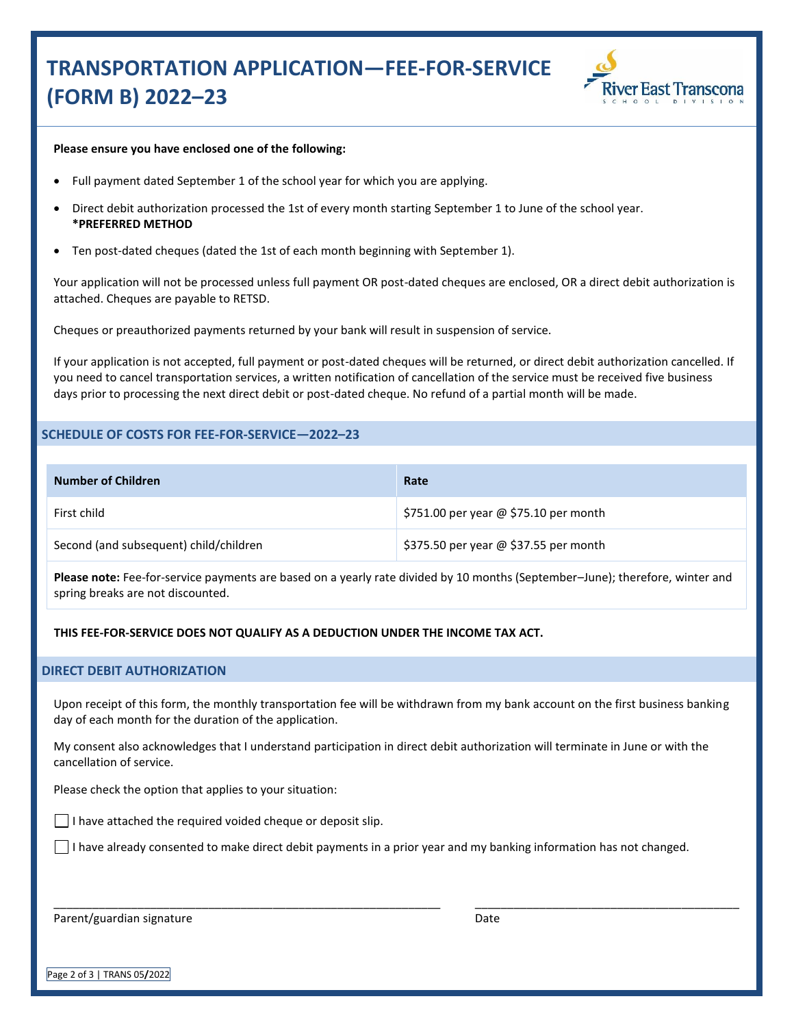## **TRANSPORTATION APPLICATION—FEE-FOR-SERVICE (FORM B) 2022–23**



#### **Please ensure you have enclosed one of the following:**

- Full payment dated September 1 of the school year for which you are applying.
- Direct debit authorization processed the 1st of every month starting September 1 to June of the school year. **\*PREFERRED METHOD**
- Ten post-dated cheques (dated the 1st of each month beginning with September 1).

Your application will not be processed unless full payment OR post-dated cheques are enclosed, OR a direct debit authorization is attached. Cheques are payable to RETSD.

Cheques or preauthorized payments returned by your bank will result in suspension of service.

If your application is not accepted, full payment or post-dated cheques will be returned, or direct debit authorization cancelled. If you need to cancel transportation services, a written notification of cancellation of the service must be received five business days prior to processing the next direct debit or post-dated cheque. No refund of a partial month will be made.

### **SCHEDULE OF COSTS FOR FEE-FOR-SERVICE—2022–23**

| Number of Children                     | Rate                                  |
|----------------------------------------|---------------------------------------|
| First child                            | \$751.00 per year @ \$75.10 per month |
| Second (and subsequent) child/children | \$375.50 per year @ \$37.55 per month |

**Please note:** Fee-for-service payments are based on a yearly rate divided by 10 months (September–June); therefore, winter and spring breaks are not discounted.

**THIS FEE-FOR-SERVICE DOES NOT QUALIFY AS A DEDUCTION UNDER THE INCOME TAX ACT.**

#### **DIRECT DEBIT AUTHORIZATION**

Upon receipt of this form, the monthly transportation fee will be withdrawn from my bank account on the first business banking day of each month for the duration of the application.

My consent also acknowledges that I understand participation in direct debit authorization will terminate in June or with the cancellation of service.

Please check the option that applies to your situation:

 $\vert \ \vert$  I have attached the required voided cheque or deposit slip.

\_\_\_\_\_\_\_\_\_\_\_\_\_\_\_\_\_\_\_\_\_\_\_\_\_\_\_\_\_\_\_\_\_\_\_\_\_\_\_\_\_\_\_\_\_\_\_\_\_\_\_\_\_\_\_\_\_\_\_\_

 $\Box$  I have already consented to make direct debit payments in a prior year and my banking information has not changed.

Parent/guardian signature

Date

\_\_\_\_\_\_\_\_\_\_\_\_\_\_\_\_\_\_\_\_\_\_\_\_\_\_\_\_\_\_\_\_\_\_\_\_\_\_\_\_\_